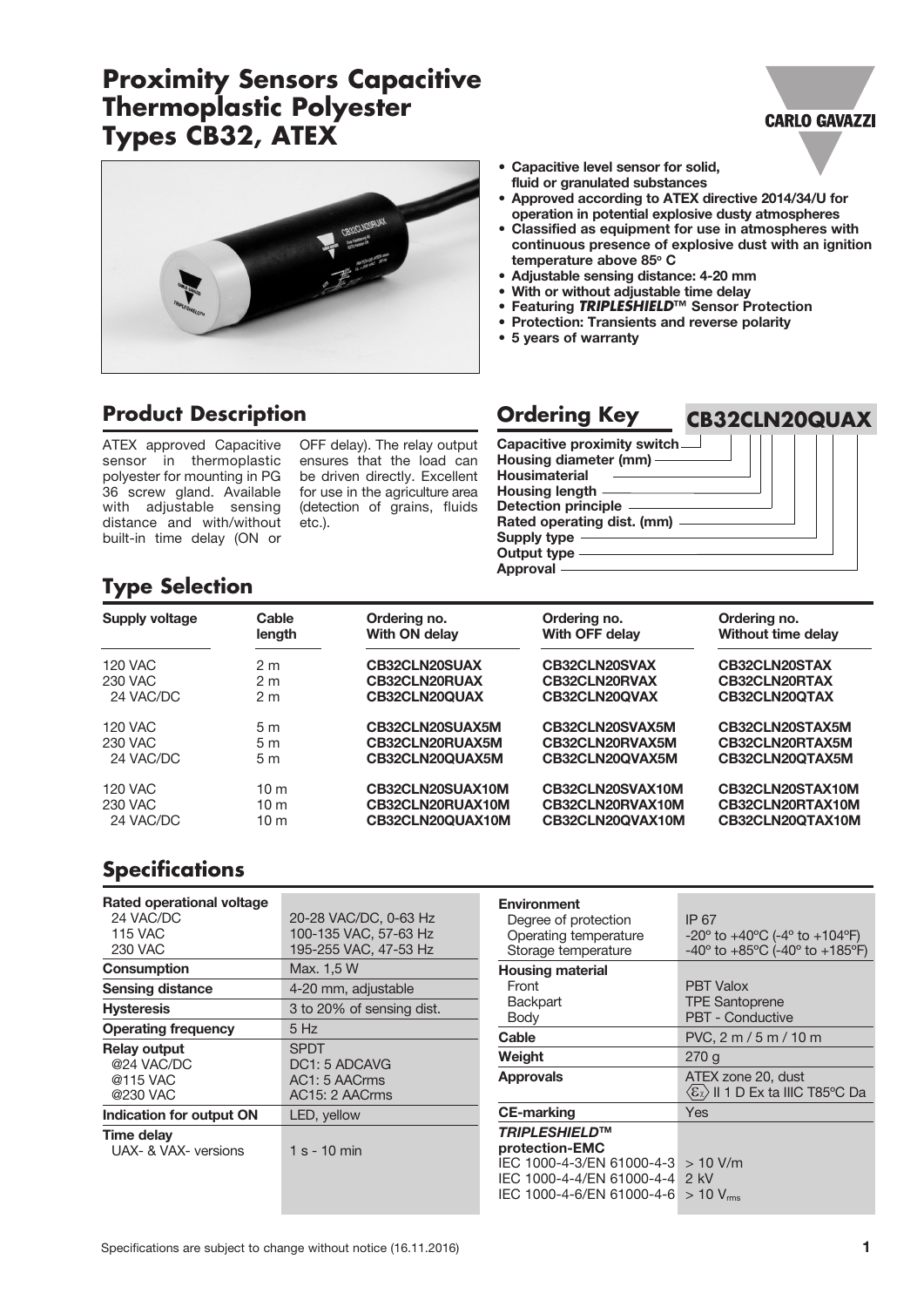# **Proximity Sensors Capacitive Thermoplastic Polyester Types CB32, ATEX**



**CB32CLN20QUAX**



#### • Capacitive level sensor for solid, fluid or granulated substances

- Approved according to ATEX directive 2014/34/U for operation in potential explosive dusty atmospheres
- Classified as equipment for use in atmospheres with continuous presence of explosive dust with an ignition temperature above 85° C
- Adjustable sensing distance: 4-20 mm
- With or without adjustable time delay
- Featuring *TRIPLESHIELD***™** Sensor Protection
- Protection: Transients and reverse polarity
- 5 years of warranty

## **Product Description**

ATEX approved Capacitive sensor in thermoplastic polyester for mounting in PG 36 screw gland. Available with adjustable sensing distance and with/without built-in time delay (ON or

OFF delay). The relay output ensures that the load can be driven directly. Excellent for use in the agriculture area (detection of grains, fluids etc.).

# **Ordering Key**

Capacitive proximity switch Housing diameter (mm) Housimaterial Housing length Detection principle Rated operating dist. (mm) Supply type Output type Approval

# **Type Selection**

| Supply voltage | Cable<br>length | Ordering no.<br>With ON delay | Ordering no.<br>With OFF delay | Ordering no.<br>Without time delay |
|----------------|-----------------|-------------------------------|--------------------------------|------------------------------------|
| <b>120 VAC</b> | 2 <sub>m</sub>  | <b>CB32CLN20SUAX</b>          | CB32CLN20SVAX                  | CB32CLN20STAX                      |
| 230 VAC        | 2 <sub>m</sub>  | <b>CB32CLN20RUAX</b>          | <b>CB32CLN20RVAX</b>           | <b>CB32CLN20RTAX</b>               |
| 24 VAC/DC      | 2 <sub>m</sub>  | CB32CLN20QUAX                 | CB32CLN20QVAX                  | CB32CLN20QTAX                      |
| <b>120 VAC</b> | 5 <sub>m</sub>  | CB32CLN20SUAX5M               | CB32CLN20SVAX5M                | CB32CLN20STAX5M                    |
| 230 VAC        | 5 <sub>m</sub>  | CB32CLN20RUAX5M               | CB32CLN20RVAX5M                | CB32CLN20RTAX5M                    |
| 24 VAC/DC      | 5 <sub>m</sub>  | CB32CLN20QUAX5M               | CB32CLN20QVAX5M                | CB32CLN20QTAX5M                    |
| <b>120 VAC</b> | 10 <sub>m</sub> | CB32CLN20SUAX10M              | CB32CLN20SVAX10M               | CB32CLN20STAX10M                   |
| 230 VAC        | 10 <sub>m</sub> | CB32CLN20RUAX10M              | CB32CLN20RVAX10M               | CB32CLN20RTAX10M                   |
| 24 VAC/DC      | 10 <sub>m</sub> | CB32CLN20QUAX10M              | CB32CLN20QVAX10M               | CB32CLN20QTAX10M                   |

## **Specifications**

| Rated operational voltage<br>24 VAC/DC<br><b>115 VAC</b><br>230 VAC | 20-28 VAC/DC, 0-63 Hz<br>100-135 VAC, 57-63 Hz<br>195-255 VAC, 47-53 Hz |
|---------------------------------------------------------------------|-------------------------------------------------------------------------|
| Consumption                                                         | Max. 1,5 W                                                              |
| <b>Sensing distance</b>                                             | 4-20 mm, adjustable                                                     |
| <b>Hysteresis</b>                                                   | 3 to 20% of sensing dist.                                               |
| <b>Operating frequency</b>                                          | 5 Hz                                                                    |
| <b>Relay output</b><br>@24 VAC/DC<br>@115 VAC<br>@230 VAC           | <b>SPDT</b><br>DC1: 5 ADCAVG<br>AC1: 5 AACrms<br>AC15: 2 AACrms         |
| Indication for output ON                                            | LED, yellow                                                             |
| Time delay<br>UAX- & VAX- versions                                  | $1 s - 10 min$                                                          |

| Environment<br>Degree of protection<br>Operating temperature<br>Storage temperature                                                | IP 67<br>-20° to +40°C (-4° to +104°F)<br>$-40^{\circ}$ to $+85^{\circ}$ C (-40° to $+185^{\circ}$ F) |  |  |
|------------------------------------------------------------------------------------------------------------------------------------|-------------------------------------------------------------------------------------------------------|--|--|
| <b>Housing material</b><br>Front<br><b>Backpart</b><br>Body                                                                        | <b>PBT Valox</b><br><b>TPE Santoprene</b><br><b>PBT - Conductive</b>                                  |  |  |
| Cable                                                                                                                              | PVC, 2 m / 5 m / 10 m                                                                                 |  |  |
| Weight                                                                                                                             | 270 g                                                                                                 |  |  |
| <b>Approvals</b>                                                                                                                   | ATEX zone 20, dust<br>$\langle \varepsilon_x \rangle$ II 1 D Ex ta IIIC T85°C Da                      |  |  |
| <b>CE-marking</b>                                                                                                                  | Yes                                                                                                   |  |  |
| <b>TRIPLESHIELD™</b><br>protection-EMC<br>IEC 1000-4-3/EN 61000-4-3<br>IEC 1000-4-4/EN 61000-4-4 2 kV<br>IEC 1000-4-6/EN 61000-4-6 | $>10$ V/m<br>$>10$ V <sub>rms</sub>                                                                   |  |  |